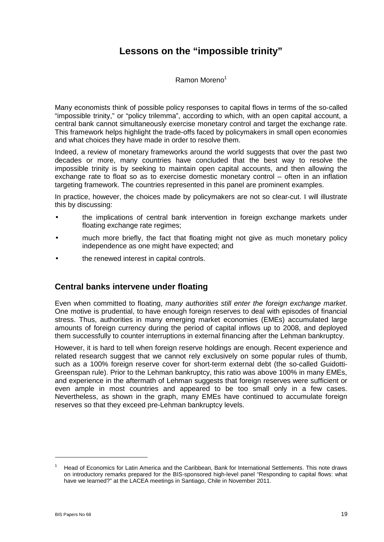# **Lessons on the "impossible trinity"**

Ramon Moreno<sup>1</sup>

Many economists think of possible policy responses to capital flows in terms of the so-called "impossible trinity," or "policy trilemma", according to which, with an open capital account, a central bank cannot simultaneously exercise monetary control and target the exchange rate. This framework helps highlight the trade-offs faced by policymakers in small open economies and what choices they have made in order to resolve them.

Indeed, a review of monetary frameworks around the world suggests that over the past two decades or more, many countries have concluded that the best way to resolve the impossible trinity is by seeking to maintain open capital accounts, and then allowing the exchange rate to float so as to exercise domestic monetary control – often in an inflation targeting framework. The countries represented in this panel are prominent examples.

In practice, however, the choices made by policymakers are not so clear-cut. I will illustrate this by discussing:

- the implications of central bank intervention in foreign exchange markets under floating exchange rate regimes;
- much more briefly, the fact that floating might not give as much monetary policy independence as one might have expected; and
- the renewed interest in capital controls.

## **Central banks intervene under floating**

Even when committed to floating, *many authorities still enter the foreign exchange market*. One motive is prudential, to have enough foreign reserves to deal with episodes of financial stress. Thus, authorities in many emerging market economies (EMEs) accumulated large amounts of foreign currency during the period of capital inflows up to 2008, and deployed them successfully to counter interruptions in external financing after the Lehman bankruptcy.

However, it is hard to tell when foreign reserve holdings are enough. Recent experience and related research suggest that we cannot rely exclusively on some popular rules of thumb, such as a 100% foreign reserve cover for short-term external debt (the so-called Guidotti-Greenspan rule). Prior to the Lehman bankruptcy, this ratio was above 100% in many EMEs, and experience in the aftermath of Lehman suggests that foreign reserves were sufficient or even ample in most countries and appeared to be too small only in a few cases. Nevertheless, as shown in the graph, many EMEs have continued to accumulate foreign reserves so that they exceed pre-Lehman bankruptcy levels.

-

<sup>1</sup> Head of Economics for Latin America and the Caribbean, Bank for International Settlements. This note draws on introductory remarks prepared for the BIS-sponsored high-level panel "Responding to capital flows: what have we learned?" at the LACEA meetings in Santiago, Chile in November 2011.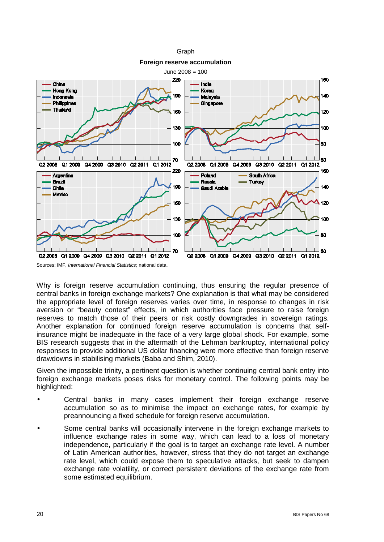

**Foreign reserve accumulation**



Sources: IMF, *International Financial Statistics*; national data.

Why is foreign reserve accumulation continuing, thus ensuring the regular presence of central banks in foreign exchange markets? One explanation is that what may be considered the appropriate level of foreign reserves varies over time, in response to changes in risk aversion or "beauty contest" effects, in which authorities face pressure to raise foreign reserves to match those of their peers or risk costly downgrades in sovereign ratings. Another explanation for continued foreign reserve accumulation is concerns that selfinsurance might be inadequate in the face of a very large global shock. For example, some BIS research suggests that in the aftermath of the Lehman bankruptcy, international policy responses to provide additional US dollar financing were more effective than foreign reserve drawdowns in stabilising markets (Baba and Shim, 2010).

Given the impossible trinity, a pertinent question is whether continuing central bank entry into foreign exchange markets poses risks for monetary control. The following points may be highlighted:

- Central banks in many cases implement their foreign exchange reserve accumulation so as to minimise the impact on exchange rates, for example by preannouncing a fixed schedule for foreign reserve accumulation.
- Some central banks will occasionally intervene in the foreign exchange markets to influence exchange rates in some way, which can lead to a loss of monetary independence, particularly if the goal is to target an exchange rate level. A number of Latin American authorities, however, stress that they do not target an exchange rate level, which could expose them to speculative attacks, but seek to dampen exchange rate volatility, or correct persistent deviations of the exchange rate from some estimated equilibrium.